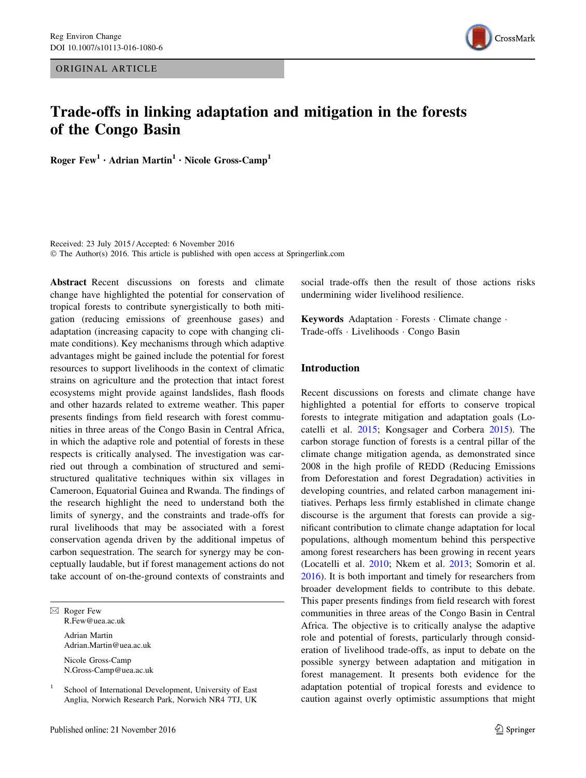ORIGINAL ARTICLE



# Trade-offs in linking adaptation and mitigation in the forests of the Congo Basin

Roger  $Few<sup>1</sup> \cdot Adrian Martin<sup>1</sup> \cdot Nicole Gross-Camp<sup>1</sup>$ 

Received: 23 July 2015 / Accepted: 6 November 2016 © The Author(s) 2016. This article is published with open access at Springerlink.com

Abstract Recent discussions on forests and climate change have highlighted the potential for conservation of tropical forests to contribute synergistically to both mitigation (reducing emissions of greenhouse gases) and adaptation (increasing capacity to cope with changing climate conditions). Key mechanisms through which adaptive advantages might be gained include the potential for forest resources to support livelihoods in the context of climatic strains on agriculture and the protection that intact forest ecosystems might provide against landslides, flash floods and other hazards related to extreme weather. This paper presents findings from field research with forest communities in three areas of the Congo Basin in Central Africa, in which the adaptive role and potential of forests in these respects is critically analysed. The investigation was carried out through a combination of structured and semistructured qualitative techniques within six villages in Cameroon, Equatorial Guinea and Rwanda. The findings of the research highlight the need to understand both the limits of synergy, and the constraints and trade-offs for rural livelihoods that may be associated with a forest conservation agenda driven by the additional impetus of carbon sequestration. The search for synergy may be conceptually laudable, but if forest management actions do not take account of on-the-ground contexts of constraints and

 $\boxtimes$  Roger Few R.Few@uea.ac.uk Adrian Martin Adrian.Martin@uea.ac.uk Nicole Gross-Camp

N.Gross-Camp@uea.ac.uk

social trade-offs then the result of those actions risks undermining wider livelihood resilience.

Keywords Adaptation - Forests - Climate change - Trade-offs - Livelihoods - Congo Basin

#### Introduction

Recent discussions on forests and climate change have highlighted a potential for efforts to conserve tropical forests to integrate mitigation and adaptation goals (Locatelli et al. [2015;](#page-11-0) Kongsager and Corbera [2015\)](#page-11-0). The carbon storage function of forests is a central pillar of the climate change mitigation agenda, as demonstrated since 2008 in the high profile of REDD (Reducing Emissions from Deforestation and forest Degradation) activities in developing countries, and related carbon management initiatives. Perhaps less firmly established in climate change discourse is the argument that forests can provide a significant contribution to climate change adaptation for local populations, although momentum behind this perspective among forest researchers has been growing in recent years (Locatelli et al. [2010](#page-11-0); Nkem et al. [2013;](#page-12-0) Somorin et al. [2016](#page-12-0)). It is both important and timely for researchers from broader development fields to contribute to this debate. This paper presents findings from field research with forest communities in three areas of the Congo Basin in Central Africa. The objective is to critically analyse the adaptive role and potential of forests, particularly through consideration of livelihood trade-offs, as input to debate on the possible synergy between adaptation and mitigation in forest management. It presents both evidence for the adaptation potential of tropical forests and evidence to caution against overly optimistic assumptions that might

School of International Development, University of East Anglia, Norwich Research Park, Norwich NR4 7TJ, UK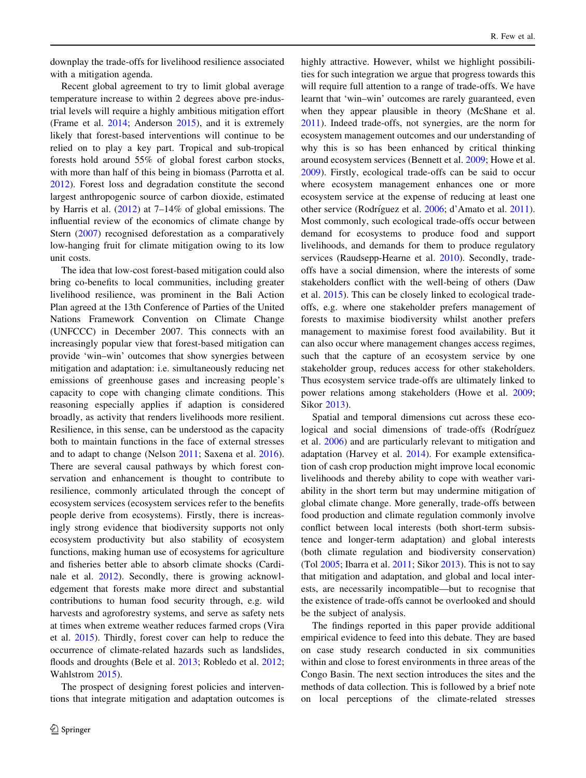downplay the trade-offs for livelihood resilience associated with a mitigation agenda.

Recent global agreement to try to limit global average temperature increase to within 2 degrees above pre-industrial levels will require a highly ambitious mitigation effort (Frame et al. [2014;](#page-11-0) Anderson [2015\)](#page-11-0), and it is extremely likely that forest-based interventions will continue to be relied on to play a key part. Tropical and sub-tropical forests hold around 55% of global forest carbon stocks, with more than half of this being in biomass (Parrotta et al. [2012\)](#page-12-0). Forest loss and degradation constitute the second largest anthropogenic source of carbon dioxide, estimated by Harris et al. ([2012\)](#page-11-0) at 7–14% of global emissions. The influential review of the economics of climate change by Stern ([2007](#page-12-0)) recognised deforestation as a comparatively low-hanging fruit for climate mitigation owing to its low unit costs.

The idea that low-cost forest-based mitigation could also bring co-benefits to local communities, including greater livelihood resilience, was prominent in the Bali Action Plan agreed at the 13th Conference of Parties of the United Nations Framework Convention on Climate Change (UNFCCC) in December 2007. This connects with an increasingly popular view that forest-based mitigation can provide 'win–win' outcomes that show synergies between mitigation and adaptation: i.e. simultaneously reducing net emissions of greenhouse gases and increasing people's capacity to cope with changing climate conditions. This reasoning especially applies if adaption is considered broadly, as activity that renders livelihoods more resilient. Resilience, in this sense, can be understood as the capacity both to maintain functions in the face of external stresses and to adapt to change (Nelson [2011;](#page-12-0) Saxena et al. [2016](#page-12-0)). There are several causal pathways by which forest conservation and enhancement is thought to contribute to resilience, commonly articulated through the concept of ecosystem services (ecosystem services refer to the benefits people derive from ecosystems). Firstly, there is increasingly strong evidence that biodiversity supports not only ecosystem productivity but also stability of ecosystem functions, making human use of ecosystems for agriculture and fisheries better able to absorb climate shocks (Cardinale et al. [2012](#page-11-0)). Secondly, there is growing acknowledgement that forests make more direct and substantial contributions to human food security through, e.g. wild harvests and agroforestry systems, and serve as safety nets at times when extreme weather reduces farmed crops (Vira et al. [2015\)](#page-12-0). Thirdly, forest cover can help to reduce the occurrence of climate-related hazards such as landslides, floods and droughts (Bele et al. [2013;](#page-11-0) Robledo et al. [2012](#page-12-0); Wahlstrom [2015\)](#page-12-0).

The prospect of designing forest policies and interventions that integrate mitigation and adaptation outcomes is highly attractive. However, whilst we highlight possibilities for such integration we argue that progress towards this will require full attention to a range of trade-offs. We have learnt that 'win–win' outcomes are rarely guaranteed, even when they appear plausible in theory (McShane et al. [2011](#page-12-0)). Indeed trade-offs, not synergies, are the norm for ecosystem management outcomes and our understanding of why this is so has been enhanced by critical thinking around ecosystem services (Bennett et al. [2009;](#page-11-0) Howe et al. [2009](#page-11-0)). Firstly, ecological trade-offs can be said to occur where ecosystem management enhances one or more ecosystem service at the expense of reducing at least one other service (Rodríguez et al. [2006;](#page-12-0) d'Amato et al. [2011](#page-11-0)). Most commonly, such ecological trade-offs occur between demand for ecosystems to produce food and support livelihoods, and demands for them to produce regulatory services (Raudsepp-Hearne et al. [2010\)](#page-12-0). Secondly, tradeoffs have a social dimension, where the interests of some stakeholders conflict with the well-being of others (Daw et al. [2015\)](#page-11-0). This can be closely linked to ecological tradeoffs, e.g. where one stakeholder prefers management of forests to maximise biodiversity whilst another prefers management to maximise forest food availability. But it can also occur where management changes access regimes, such that the capture of an ecosystem service by one stakeholder group, reduces access for other stakeholders. Thus ecosystem service trade-offs are ultimately linked to power relations among stakeholders (Howe et al. [2009](#page-11-0); Sikor [2013](#page-12-0)).

Spatial and temporal dimensions cut across these ecological and social dimensions of trade-offs (Rodríguez et al. [2006\)](#page-12-0) and are particularly relevant to mitigation and adaptation (Harvey et al. [2014\)](#page-11-0). For example extensification of cash crop production might improve local economic livelihoods and thereby ability to cope with weather variability in the short term but may undermine mitigation of global climate change. More generally, trade-offs between food production and climate regulation commonly involve conflict between local interests (both short-term subsistence and longer-term adaptation) and global interests (both climate regulation and biodiversity conservation) (Tol  $2005$ ; Ibarra et al.  $2011$ ; Sikor  $2013$ ). This is not to say that mitigation and adaptation, and global and local interests, are necessarily incompatible—but to recognise that the existence of trade-offs cannot be overlooked and should be the subject of analysis.

The findings reported in this paper provide additional empirical evidence to feed into this debate. They are based on case study research conducted in six communities within and close to forest environments in three areas of the Congo Basin. The next section introduces the sites and the methods of data collection. This is followed by a brief note on local perceptions of the climate-related stresses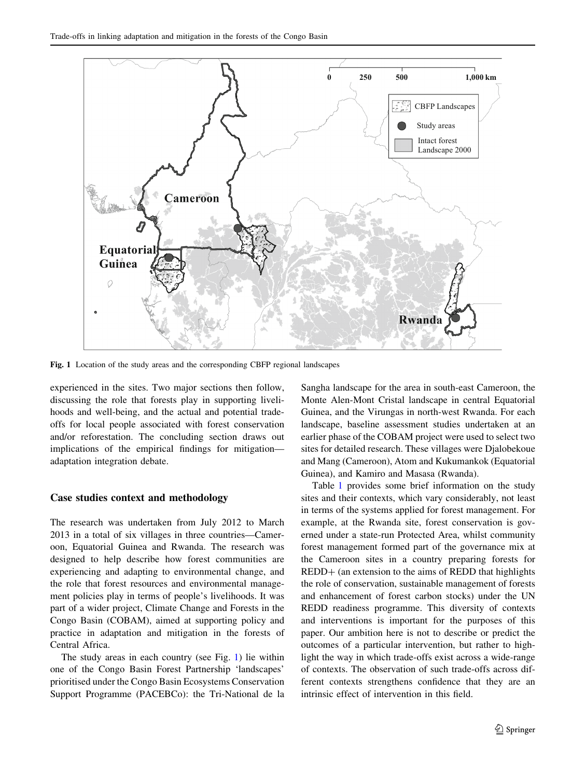

Fig. 1 Location of the study areas and the corresponding CBFP regional landscapes

experienced in the sites. Two major sections then follow, discussing the role that forests play in supporting livelihoods and well-being, and the actual and potential tradeoffs for local people associated with forest conservation and/or reforestation. The concluding section draws out implications of the empirical findings for mitigation adaptation integration debate.

#### Case studies context and methodology

The research was undertaken from July 2012 to March 2013 in a total of six villages in three countries—Cameroon, Equatorial Guinea and Rwanda. The research was designed to help describe how forest communities are experiencing and adapting to environmental change, and the role that forest resources and environmental management policies play in terms of people's livelihoods. It was part of a wider project, Climate Change and Forests in the Congo Basin (COBAM), aimed at supporting policy and practice in adaptation and mitigation in the forests of Central Africa.

The study areas in each country (see Fig. 1) lie within one of the Congo Basin Forest Partnership 'landscapes' prioritised under the Congo Basin Ecosystems Conservation Support Programme (PACEBCo): the Tri-National de la Sangha landscape for the area in south-east Cameroon, the Monte Alen-Mont Cristal landscape in central Equatorial Guinea, and the Virungas in north-west Rwanda. For each landscape, baseline assessment studies undertaken at an earlier phase of the COBAM project were used to select two sites for detailed research. These villages were Djalobekoue and Mang (Cameroon), Atom and Kukumankok (Equatorial Guinea), and Kamiro and Masasa (Rwanda).

Table [1](#page-3-0) provides some brief information on the study sites and their contexts, which vary considerably, not least in terms of the systems applied for forest management. For example, at the Rwanda site, forest conservation is governed under a state-run Protected Area, whilst community forest management formed part of the governance mix at the Cameroon sites in a country preparing forests for REDD+ (an extension to the aims of REDD that highlights the role of conservation, sustainable management of forests and enhancement of forest carbon stocks) under the UN REDD readiness programme. This diversity of contexts and interventions is important for the purposes of this paper. Our ambition here is not to describe or predict the outcomes of a particular intervention, but rather to highlight the way in which trade-offs exist across a wide-range of contexts. The observation of such trade-offs across different contexts strengthens confidence that they are an intrinsic effect of intervention in this field.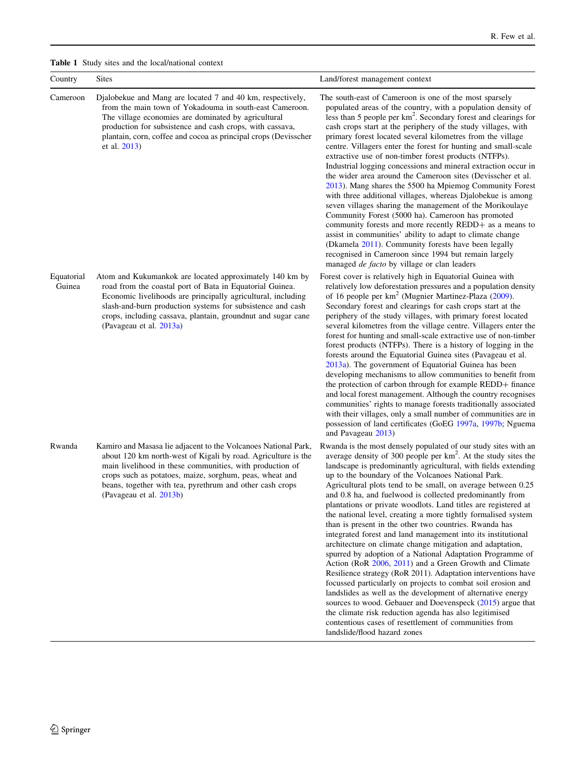<span id="page-3-0"></span>

|  |  |  |  |  | <b>Table 1</b> Study sites and the local/national context |  |
|--|--|--|--|--|-----------------------------------------------------------|--|
|--|--|--|--|--|-----------------------------------------------------------|--|

| Country              | <b>Sites</b>                                                                                                                                                                                                                                                                                                                                  | Land/forest management context                                                                                                                                                                                                                                                                                                                                                                                                                                                                                                                                                                                                                                                                                                                                                                                                                                                                                                                                                                                                                                                                                                                                                                                                                            |
|----------------------|-----------------------------------------------------------------------------------------------------------------------------------------------------------------------------------------------------------------------------------------------------------------------------------------------------------------------------------------------|-----------------------------------------------------------------------------------------------------------------------------------------------------------------------------------------------------------------------------------------------------------------------------------------------------------------------------------------------------------------------------------------------------------------------------------------------------------------------------------------------------------------------------------------------------------------------------------------------------------------------------------------------------------------------------------------------------------------------------------------------------------------------------------------------------------------------------------------------------------------------------------------------------------------------------------------------------------------------------------------------------------------------------------------------------------------------------------------------------------------------------------------------------------------------------------------------------------------------------------------------------------|
| Cameroon             | Djalobekue and Mang are located 7 and 40 km, respectively,<br>from the main town of Yokadouma in south-east Cameroon.<br>The village economies are dominated by agricultural<br>production for subsistence and cash crops, with cassava,<br>plantain, corn, coffee and cocoa as principal crops (Devisscher<br>et al. 2013)                   | The south-east of Cameroon is one of the most sparsely<br>populated areas of the country, with a population density of<br>less than 5 people per km <sup>2</sup> . Secondary forest and clearings for<br>cash crops start at the periphery of the study villages, with<br>primary forest located several kilometres from the village<br>centre. Villagers enter the forest for hunting and small-scale<br>extractive use of non-timber forest products (NTFPs).<br>Industrial logging concessions and mineral extraction occur in<br>the wider area around the Cameroon sites (Devisscher et al.<br>2013). Mang shares the 5500 ha Mpiemog Community Forest<br>with three additional villages, whereas Djalobekue is among<br>seven villages sharing the management of the Morikoulaye<br>Community Forest (5000 ha). Cameroon has promoted<br>community forests and more recently REDD+ as a means to<br>assist in communities' ability to adapt to climate change<br>(Dkamela 2011). Community forests have been legally<br>recognised in Cameroon since 1994 but remain largely<br>managed <i>de facto</i> by village or clan leaders                                                                                                                  |
| Equatorial<br>Guinea | Atom and Kukumankok are located approximately 140 km by<br>road from the coastal port of Bata in Equatorial Guinea.<br>Economic livelihoods are principally agricultural, including<br>slash-and-burn production systems for subsistence and cash<br>crops, including cassava, plantain, groundnut and sugar cane<br>(Pavageau et al. 2013a)  | Forest cover is relatively high in Equatorial Guinea with<br>relatively low deforestation pressures and a population density<br>of 16 people per km <sup>2</sup> (Mugnier Martinez-Plaza (2009).<br>Secondary forest and clearings for cash crops start at the<br>periphery of the study villages, with primary forest located<br>several kilometres from the village centre. Villagers enter the<br>forest for hunting and small-scale extractive use of non-timber<br>forest products (NTFPs). There is a history of logging in the<br>forests around the Equatorial Guinea sites (Pavageau et al.<br>2013a). The government of Equatorial Guinea has been<br>developing mechanisms to allow communities to benefit from<br>the protection of carbon through for example REDD+ finance<br>and local forest management. Although the country recognises<br>communities' rights to manage forests traditionally associated<br>with their villages, only a small number of communities are in<br>possession of land certificates (GoEG 1997a, 1997b; Nguema<br>and Pavageau 2013)                                                                                                                                                                          |
| Rwanda               | Kamiro and Masasa lie adjacent to the Volcanoes National Park,<br>about 120 km north-west of Kigali by road. Agriculture is the<br>main livelihood in these communities, with production of<br>crops such as potatoes, maize, sorghum, peas, wheat and<br>beans, together with tea, pyrethrum and other cash crops<br>(Pavageau et al. 2013b) | Rwanda is the most densely populated of our study sites with an<br>average density of 300 people per $km2$ . At the study sites the<br>landscape is predominantly agricultural, with fields extending<br>up to the boundary of the Volcanoes National Park.<br>Agricultural plots tend to be small, on average between 0.25<br>and 0.8 ha, and fuelwood is collected predominantly from<br>plantations or private woodlots. Land titles are registered at<br>the national level, creating a more tightly formalised system<br>than is present in the other two countries. Rwanda has<br>integrated forest and land management into its institutional<br>architecture on climate change mitigation and adaptation,<br>spurred by adoption of a National Adaptation Programme of<br>Action (RoR 2006, 2011) and a Green Growth and Climate<br>Resilience strategy (RoR 2011). Adaptation interventions have<br>focussed particularly on projects to combat soil erosion and<br>landslides as well as the development of alternative energy<br>sources to wood. Gebauer and Doevenspeck (2015) argue that<br>the climate risk reduction agenda has also legitimised<br>contentious cases of resettlement of communities from<br>landslide/flood hazard zones |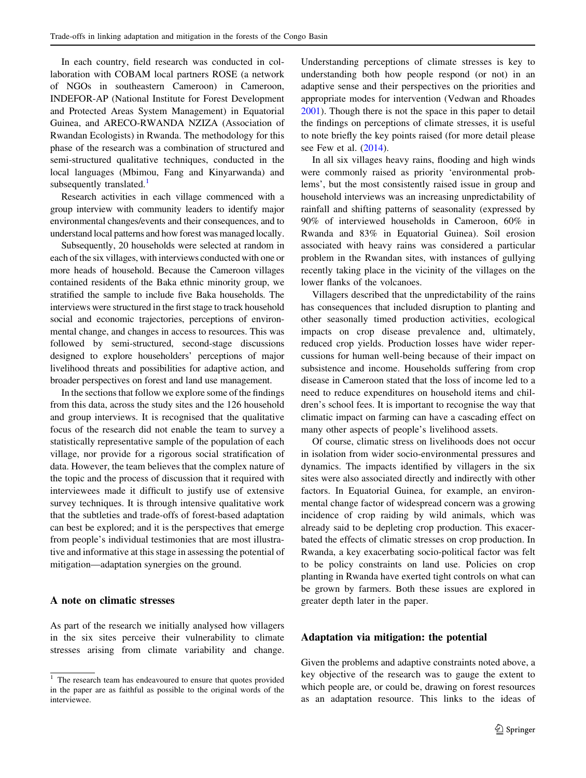In each country, field research was conducted in collaboration with COBAM local partners ROSE (a network of NGOs in southeastern Cameroon) in Cameroon, INDEFOR-AP (National Institute for Forest Development and Protected Areas System Management) in Equatorial Guinea, and ARECO-RWANDA NZIZA (Association of Rwandan Ecologists) in Rwanda. The methodology for this phase of the research was a combination of structured and semi-structured qualitative techniques, conducted in the local languages (Mbimou, Fang and Kinyarwanda) and subsequently translated. $\frac{1}{1}$ 

Research activities in each village commenced with a group interview with community leaders to identify major environmental changes/events and their consequences, and to understand local patterns and how forest was managed locally.

Subsequently, 20 households were selected at random in each of the six villages, with interviews conducted with one or more heads of household. Because the Cameroon villages contained residents of the Baka ethnic minority group, we stratified the sample to include five Baka households. The interviews were structured in the first stage to track household social and economic trajectories, perceptions of environmental change, and changes in access to resources. This was followed by semi-structured, second-stage discussions designed to explore householders' perceptions of major livelihood threats and possibilities for adaptive action, and broader perspectives on forest and land use management.

In the sections that follow we explore some of the findings from this data, across the study sites and the 126 household and group interviews. It is recognised that the qualitative focus of the research did not enable the team to survey a statistically representative sample of the population of each village, nor provide for a rigorous social stratification of data. However, the team believes that the complex nature of the topic and the process of discussion that it required with interviewees made it difficult to justify use of extensive survey techniques. It is through intensive qualitative work that the subtleties and trade-offs of forest-based adaptation can best be explored; and it is the perspectives that emerge from people's individual testimonies that are most illustrative and informative at this stage in assessing the potential of mitigation—adaptation synergies on the ground.

#### A note on climatic stresses

As part of the research we initially analysed how villagers in the six sites perceive their vulnerability to climate stresses arising from climate variability and change.

Understanding perceptions of climate stresses is key to understanding both how people respond (or not) in an adaptive sense and their perspectives on the priorities and appropriate modes for intervention (Vedwan and Rhoades [2001](#page-12-0)). Though there is not the space in this paper to detail the findings on perceptions of climate stresses, it is useful to note briefly the key points raised (for more detail please see Few et al. ([2014\)](#page-11-0).

In all six villages heavy rains, flooding and high winds were commonly raised as priority 'environmental problems', but the most consistently raised issue in group and household interviews was an increasing unpredictability of rainfall and shifting patterns of seasonality (expressed by 90% of interviewed households in Cameroon, 60% in Rwanda and 83% in Equatorial Guinea). Soil erosion associated with heavy rains was considered a particular problem in the Rwandan sites, with instances of gullying recently taking place in the vicinity of the villages on the lower flanks of the volcanoes.

Villagers described that the unpredictability of the rains has consequences that included disruption to planting and other seasonally timed production activities, ecological impacts on crop disease prevalence and, ultimately, reduced crop yields. Production losses have wider repercussions for human well-being because of their impact on subsistence and income. Households suffering from crop disease in Cameroon stated that the loss of income led to a need to reduce expenditures on household items and children's school fees. It is important to recognise the way that climatic impact on farming can have a cascading effect on many other aspects of people's livelihood assets.

Of course, climatic stress on livelihoods does not occur in isolation from wider socio-environmental pressures and dynamics. The impacts identified by villagers in the six sites were also associated directly and indirectly with other factors. In Equatorial Guinea, for example, an environmental change factor of widespread concern was a growing incidence of crop raiding by wild animals, which was already said to be depleting crop production. This exacerbated the effects of climatic stresses on crop production. In Rwanda, a key exacerbating socio-political factor was felt to be policy constraints on land use. Policies on crop planting in Rwanda have exerted tight controls on what can be grown by farmers. Both these issues are explored in greater depth later in the paper.

#### Adaptation via mitigation: the potential

Given the problems and adaptive constraints noted above, a key objective of the research was to gauge the extent to which people are, or could be, drawing on forest resources as an adaptation resource. This links to the ideas of

<sup>&</sup>lt;sup>1</sup> The research team has endeavoured to ensure that quotes provided in the paper are as faithful as possible to the original words of the interviewee.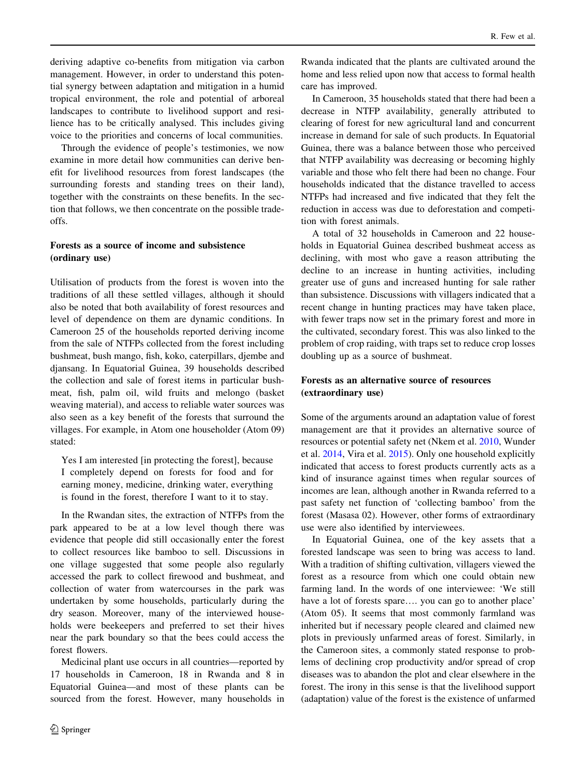deriving adaptive co-benefits from mitigation via carbon management. However, in order to understand this potential synergy between adaptation and mitigation in a humid tropical environment, the role and potential of arboreal landscapes to contribute to livelihood support and resilience has to be critically analysed. This includes giving voice to the priorities and concerns of local communities.

Through the evidence of people's testimonies, we now examine in more detail how communities can derive benefit for livelihood resources from forest landscapes (the surrounding forests and standing trees on their land), together with the constraints on these benefits. In the section that follows, we then concentrate on the possible tradeoffs.

### Forests as a source of income and subsistence (ordinary use)

Utilisation of products from the forest is woven into the traditions of all these settled villages, although it should also be noted that both availability of forest resources and level of dependence on them are dynamic conditions. In Cameroon 25 of the households reported deriving income from the sale of NTFPs collected from the forest including bushmeat, bush mango, fish, koko, caterpillars, djembe and djansang. In Equatorial Guinea, 39 households described the collection and sale of forest items in particular bushmeat, fish, palm oil, wild fruits and melongo (basket weaving material), and access to reliable water sources was also seen as a key benefit of the forests that surround the villages. For example, in Atom one householder (Atom 09) stated:

Yes I am interested [in protecting the forest], because I completely depend on forests for food and for earning money, medicine, drinking water, everything is found in the forest, therefore I want to it to stay.

In the Rwandan sites, the extraction of NTFPs from the park appeared to be at a low level though there was evidence that people did still occasionally enter the forest to collect resources like bamboo to sell. Discussions in one village suggested that some people also regularly accessed the park to collect firewood and bushmeat, and collection of water from watercourses in the park was undertaken by some households, particularly during the dry season. Moreover, many of the interviewed households were beekeepers and preferred to set their hives near the park boundary so that the bees could access the forest flowers.

Medicinal plant use occurs in all countries—reported by 17 households in Cameroon, 18 in Rwanda and 8 in Equatorial Guinea—and most of these plants can be sourced from the forest. However, many households in Rwanda indicated that the plants are cultivated around the home and less relied upon now that access to formal health care has improved.

In Cameroon, 35 households stated that there had been a decrease in NTFP availability, generally attributed to clearing of forest for new agricultural land and concurrent increase in demand for sale of such products. In Equatorial Guinea, there was a balance between those who perceived that NTFP availability was decreasing or becoming highly variable and those who felt there had been no change. Four households indicated that the distance travelled to access NTFPs had increased and five indicated that they felt the reduction in access was due to deforestation and competition with forest animals.

A total of 32 households in Cameroon and 22 households in Equatorial Guinea described bushmeat access as declining, with most who gave a reason attributing the decline to an increase in hunting activities, including greater use of guns and increased hunting for sale rather than subsistence. Discussions with villagers indicated that a recent change in hunting practices may have taken place, with fewer traps now set in the primary forest and more in the cultivated, secondary forest. This was also linked to the problem of crop raiding, with traps set to reduce crop losses doubling up as a source of bushmeat.

# Forests as an alternative source of resources (extraordinary use)

Some of the arguments around an adaptation value of forest management are that it provides an alternative source of resources or potential safety net (Nkem et al. [2010](#page-12-0), Wunder et al. [2014](#page-12-0), Vira et al. [2015](#page-12-0)). Only one household explicitly indicated that access to forest products currently acts as a kind of insurance against times when regular sources of incomes are lean, although another in Rwanda referred to a past safety net function of 'collecting bamboo' from the forest (Masasa 02). However, other forms of extraordinary use were also identified by interviewees.

In Equatorial Guinea, one of the key assets that a forested landscape was seen to bring was access to land. With a tradition of shifting cultivation, villagers viewed the forest as a resource from which one could obtain new farming land. In the words of one interviewee: 'We still have a lot of forests spare.... you can go to another place' (Atom 05). It seems that most commonly farmland was inherited but if necessary people cleared and claimed new plots in previously unfarmed areas of forest. Similarly, in the Cameroon sites, a commonly stated response to problems of declining crop productivity and/or spread of crop diseases was to abandon the plot and clear elsewhere in the forest. The irony in this sense is that the livelihood support (adaptation) value of the forest is the existence of unfarmed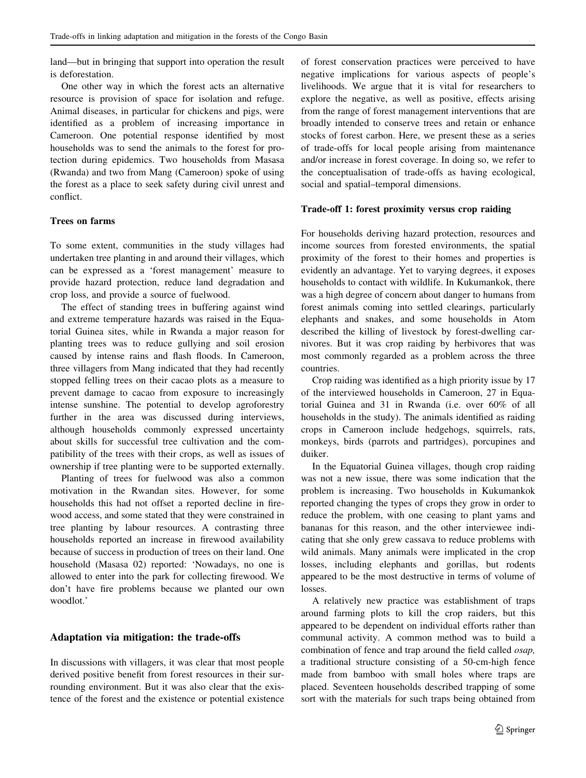land—but in bringing that support into operation the result is deforestation.

One other way in which the forest acts an alternative resource is provision of space for isolation and refuge. Animal diseases, in particular for chickens and pigs, were identified as a problem of increasing importance in Cameroon. One potential response identified by most households was to send the animals to the forest for protection during epidemics. Two households from Masasa (Rwanda) and two from Mang (Cameroon) spoke of using the forest as a place to seek safety during civil unrest and conflict.

## Trees on farms

To some extent, communities in the study villages had undertaken tree planting in and around their villages, which can be expressed as a 'forest management' measure to provide hazard protection, reduce land degradation and crop loss, and provide a source of fuelwood.

The effect of standing trees in buffering against wind and extreme temperature hazards was raised in the Equatorial Guinea sites, while in Rwanda a major reason for planting trees was to reduce gullying and soil erosion caused by intense rains and flash floods. In Cameroon, three villagers from Mang indicated that they had recently stopped felling trees on their cacao plots as a measure to prevent damage to cacao from exposure to increasingly intense sunshine. The potential to develop agroforestry further in the area was discussed during interviews, although households commonly expressed uncertainty about skills for successful tree cultivation and the compatibility of the trees with their crops, as well as issues of ownership if tree planting were to be supported externally.

Planting of trees for fuelwood was also a common motivation in the Rwandan sites. However, for some households this had not offset a reported decline in firewood access, and some stated that they were constrained in tree planting by labour resources. A contrasting three households reported an increase in firewood availability because of success in production of trees on their land. One household (Masasa 02) reported: 'Nowadays, no one is allowed to enter into the park for collecting firewood. We don't have fire problems because we planted our own woodlot.'

# Adaptation via mitigation: the trade-offs

In discussions with villagers, it was clear that most people derived positive benefit from forest resources in their surrounding environment. But it was also clear that the existence of the forest and the existence or potential existence of forest conservation practices were perceived to have negative implications for various aspects of people's livelihoods. We argue that it is vital for researchers to explore the negative, as well as positive, effects arising from the range of forest management interventions that are broadly intended to conserve trees and retain or enhance stocks of forest carbon. Here, we present these as a series of trade-offs for local people arising from maintenance and/or increase in forest coverage. In doing so, we refer to the conceptualisation of trade-offs as having ecological, social and spatial–temporal dimensions.

#### Trade-off 1: forest proximity versus crop raiding

For households deriving hazard protection, resources and income sources from forested environments, the spatial proximity of the forest to their homes and properties is evidently an advantage. Yet to varying degrees, it exposes households to contact with wildlife. In Kukumankok, there was a high degree of concern about danger to humans from forest animals coming into settled clearings, particularly elephants and snakes, and some households in Atom described the killing of livestock by forest-dwelling carnivores. But it was crop raiding by herbivores that was most commonly regarded as a problem across the three countries.

Crop raiding was identified as a high priority issue by 17 of the interviewed households in Cameroon, 27 in Equatorial Guinea and 31 in Rwanda (i.e. over 60% of all households in the study). The animals identified as raiding crops in Cameroon include hedgehogs, squirrels, rats, monkeys, birds (parrots and partridges), porcupines and duiker.

In the Equatorial Guinea villages, though crop raiding was not a new issue, there was some indication that the problem is increasing. Two households in Kukumankok reported changing the types of crops they grow in order to reduce the problem, with one ceasing to plant yams and bananas for this reason, and the other interviewee indicating that she only grew cassava to reduce problems with wild animals. Many animals were implicated in the crop losses, including elephants and gorillas, but rodents appeared to be the most destructive in terms of volume of losses.

A relatively new practice was establishment of traps around farming plots to kill the crop raiders, but this appeared to be dependent on individual efforts rather than communal activity. A common method was to build a combination of fence and trap around the field called osap, a traditional structure consisting of a 50-cm-high fence made from bamboo with small holes where traps are placed. Seventeen households described trapping of some sort with the materials for such traps being obtained from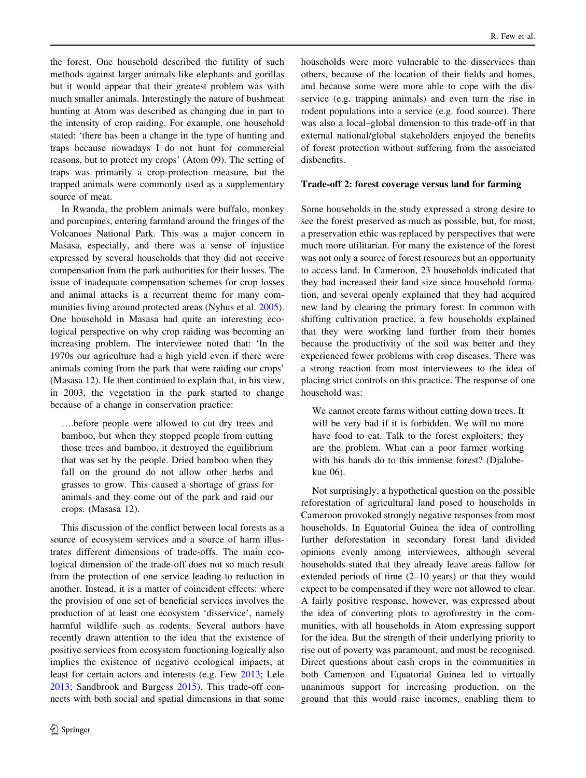the forest. One household described the futility of such methods against larger animals like elephants and gorillas but it would appear that their greatest problem was with much smaller animals. Interestingly the nature of bushmeat hunting at Atom was described as changing due in part to the intensity of crop raiding. For example, one household stated: 'there has been a change in the type of hunting and traps because nowadays I do not hunt for commercial reasons, but to protect my crops' (Atom 09). The setting of traps was primarily a crop-protection measure, but the trapped animals were commonly used as a supplementary source of meat.

In Rwanda, the problem animals were buffalo, monkey and porcupines, entering farmland around the fringes of the Volcanoes National Park. This was a major concern in Masasa, especially, and there was a sense of injustice expressed by several households that they did not receive compensation from the park authorities for their losses. The issue of inadequate compensation schemes for crop losses and animal attacks is a recurrent theme for many communities living around protected areas (Nyhus et al. [2005](#page-12-0)). One household in Masasa had quite an interesting ecological perspective on why crop raiding was becoming an increasing problem. The interviewee noted that: 'In the 1970s our agriculture had a high yield even if there were animals coming from the park that were raiding our crops' (Masasa 12). He then continued to explain that, in his view, in 2003, the vegetation in the park started to change because of a change in conservation practice:

….before people were allowed to cut dry trees and bamboo, but when they stopped people from cutting those trees and bamboo, it destroyed the equilibrium that was set by the people. Dried bamboo when they fall on the ground do not allow other herbs and grasses to grow. This caused a shortage of grass for animals and they come out of the park and raid our crops. (Masasa 12).

This discussion of the conflict between local forests as a source of ecosystem services and a source of harm illustrates different dimensions of trade-offs. The main ecological dimension of the trade-off does not so much result from the protection of one service leading to reduction in another. Instead, it is a matter of coincident effects: where the provision of one set of beneficial services involves the production of at least one ecosystem 'disservice', namely harmful wildlife such as rodents. Several authors have recently drawn attention to the idea that the existence of positive services from ecosystem functioning logically also implies the existence of negative ecological impacts, at least for certain actors and interests (e.g. Few [2013;](#page-11-0) Lele [2013;](#page-11-0) Sandbrook and Burgess [2015](#page-12-0)). This trade-off connects with both social and spatial dimensions in that some

households were more vulnerable to the disservices than others, because of the location of their fields and homes, and because some were more able to cope with the disservice (e.g. trapping animals) and even turn the rise in rodent populations into a service (e.g. food source). There was also a local–global dimension to this trade-off in that external national/global stakeholders enjoyed the benefits of forest protection without suffering from the associated disbenefits.

#### Trade-off 2: forest coverage versus land for farming

Some households in the study expressed a strong desire to see the forest preserved as much as possible, but, for most, a preservation ethic was replaced by perspectives that were much more utilitarian. For many the existence of the forest was not only a source of forest resources but an opportunity to access land. In Cameroon, 23 households indicated that they had increased their land size since household formation, and several openly explained that they had acquired new land by clearing the primary forest. In common with shifting cultivation practice, a few households explained that they were working land further from their homes because the productivity of the soil was better and they experienced fewer problems with crop diseases. There was a strong reaction from most interviewees to the idea of placing strict controls on this practice. The response of one household was:

We cannot create farms without cutting down trees. It will be very bad if it is forbidden. We will no more have food to eat. Talk to the forest exploiters; they are the problem. What can a poor farmer working with his hands do to this immense forest? (Djalobekue 06).

Not surprisingly, a hypothetical question on the possible reforestation of agricultural land posed to households in Cameroon provoked strongly negative responses from most households. In Equatorial Guinea the idea of controlling further deforestation in secondary forest land divided opinions evenly among interviewees, although several households stated that they already leave areas fallow for extended periods of time (2–10 years) or that they would expect to be compensated if they were not allowed to clear. A fairly positive response, however, was expressed about the idea of converting plots to agroforestry in the communities, with all households in Atom expressing support for the idea. But the strength of their underlying priority to rise out of poverty was paramount, and must be recognised. Direct questions about cash crops in the communities in both Cameroon and Equatorial Guinea led to virtually unanimous support for increasing production, on the ground that this would raise incomes, enabling them to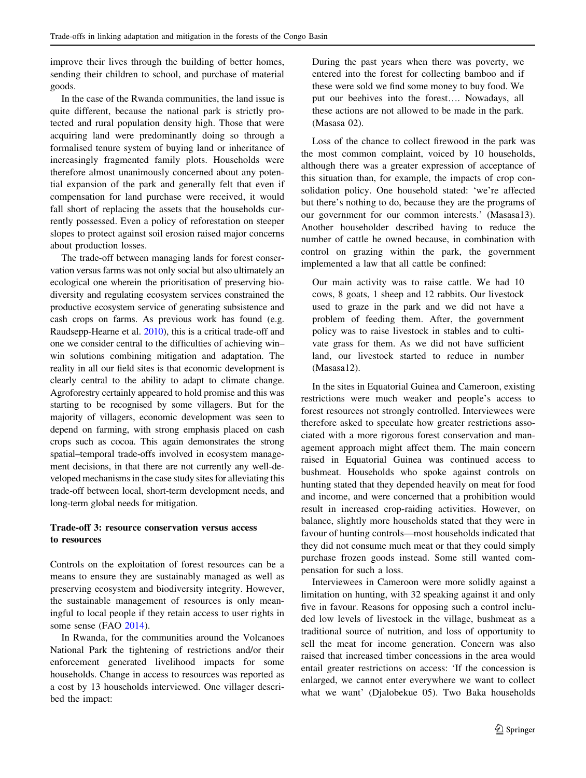improve their lives through the building of better homes, sending their children to school, and purchase of material goods.

In the case of the Rwanda communities, the land issue is quite different, because the national park is strictly protected and rural population density high. Those that were acquiring land were predominantly doing so through a formalised tenure system of buying land or inheritance of increasingly fragmented family plots. Households were therefore almost unanimously concerned about any potential expansion of the park and generally felt that even if compensation for land purchase were received, it would fall short of replacing the assets that the households currently possessed. Even a policy of reforestation on steeper slopes to protect against soil erosion raised major concerns about production losses.

The trade-off between managing lands for forest conservation versus farms was not only social but also ultimately an ecological one wherein the prioritisation of preserving biodiversity and regulating ecosystem services constrained the productive ecosystem service of generating subsistence and cash crops on farms. As previous work has found (e.g. Raudsepp-Hearne et al. [2010\)](#page-12-0), this is a critical trade-off and one we consider central to the difficulties of achieving win– win solutions combining mitigation and adaptation. The reality in all our field sites is that economic development is clearly central to the ability to adapt to climate change. Agroforestry certainly appeared to hold promise and this was starting to be recognised by some villagers. But for the majority of villagers, economic development was seen to depend on farming, with strong emphasis placed on cash crops such as cocoa. This again demonstrates the strong spatial–temporal trade-offs involved in ecosystem management decisions, in that there are not currently any well-developed mechanisms in the case study sites for alleviating this trade-off between local, short-term development needs, and long-term global needs for mitigation.

#### Trade-off 3: resource conservation versus access to resources

Controls on the exploitation of forest resources can be a means to ensure they are sustainably managed as well as preserving ecosystem and biodiversity integrity. However, the sustainable management of resources is only meaningful to local people if they retain access to user rights in some sense (FAO [2014\)](#page-11-0).

In Rwanda, for the communities around the Volcanoes National Park the tightening of restrictions and/or their enforcement generated livelihood impacts for some households. Change in access to resources was reported as a cost by 13 households interviewed. One villager described the impact:

During the past years when there was poverty, we entered into the forest for collecting bamboo and if these were sold we find some money to buy food. We put our beehives into the forest…. Nowadays, all these actions are not allowed to be made in the park. (Masasa 02).

Loss of the chance to collect firewood in the park was the most common complaint, voiced by 10 households, although there was a greater expression of acceptance of this situation than, for example, the impacts of crop consolidation policy. One household stated: 'we're affected but there's nothing to do, because they are the programs of our government for our common interests.' (Masasa13). Another householder described having to reduce the number of cattle he owned because, in combination with control on grazing within the park, the government implemented a law that all cattle be confined:

Our main activity was to raise cattle. We had 10 cows, 8 goats, 1 sheep and 12 rabbits. Our livestock used to graze in the park and we did not have a problem of feeding them. After, the government policy was to raise livestock in stables and to cultivate grass for them. As we did not have sufficient land, our livestock started to reduce in number (Masasa12).

In the sites in Equatorial Guinea and Cameroon, existing restrictions were much weaker and people's access to forest resources not strongly controlled. Interviewees were therefore asked to speculate how greater restrictions associated with a more rigorous forest conservation and management approach might affect them. The main concern raised in Equatorial Guinea was continued access to bushmeat. Households who spoke against controls on hunting stated that they depended heavily on meat for food and income, and were concerned that a prohibition would result in increased crop-raiding activities. However, on balance, slightly more households stated that they were in favour of hunting controls—most households indicated that they did not consume much meat or that they could simply purchase frozen goods instead. Some still wanted compensation for such a loss.

Interviewees in Cameroon were more solidly against a limitation on hunting, with 32 speaking against it and only five in favour. Reasons for opposing such a control included low levels of livestock in the village, bushmeat as a traditional source of nutrition, and loss of opportunity to sell the meat for income generation. Concern was also raised that increased timber concessions in the area would entail greater restrictions on access: 'If the concession is enlarged, we cannot enter everywhere we want to collect what we want' (Djalobekue 05). Two Baka households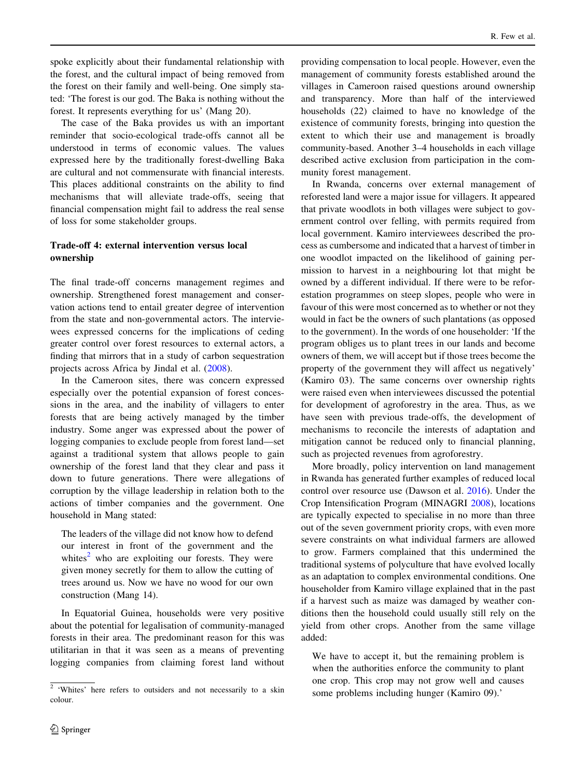spoke explicitly about their fundamental relationship with the forest, and the cultural impact of being removed from the forest on their family and well-being. One simply stated: 'The forest is our god. The Baka is nothing without the forest. It represents everything for us' (Mang 20).

The case of the Baka provides us with an important reminder that socio-ecological trade-offs cannot all be understood in terms of economic values. The values expressed here by the traditionally forest-dwelling Baka are cultural and not commensurate with financial interests. This places additional constraints on the ability to find mechanisms that will alleviate trade-offs, seeing that financial compensation might fail to address the real sense of loss for some stakeholder groups.

# Trade-off 4: external intervention versus local ownership

The final trade-off concerns management regimes and ownership. Strengthened forest management and conservation actions tend to entail greater degree of intervention from the state and non-governmental actors. The interviewees expressed concerns for the implications of ceding greater control over forest resources to external actors, a finding that mirrors that in a study of carbon sequestration projects across Africa by Jindal et al. ([2008\)](#page-11-0).

In the Cameroon sites, there was concern expressed especially over the potential expansion of forest concessions in the area, and the inability of villagers to enter forests that are being actively managed by the timber industry. Some anger was expressed about the power of logging companies to exclude people from forest land—set against a traditional system that allows people to gain ownership of the forest land that they clear and pass it down to future generations. There were allegations of corruption by the village leadership in relation both to the actions of timber companies and the government. One household in Mang stated:

The leaders of the village did not know how to defend our interest in front of the government and the whites $2$  who are exploiting our forests. They were given money secretly for them to allow the cutting of trees around us. Now we have no wood for our own construction (Mang 14).

In Equatorial Guinea, households were very positive about the potential for legalisation of community-managed forests in their area. The predominant reason for this was utilitarian in that it was seen as a means of preventing logging companies from claiming forest land without providing compensation to local people. However, even the management of community forests established around the villages in Cameroon raised questions around ownership and transparency. More than half of the interviewed households (22) claimed to have no knowledge of the existence of community forests, bringing into question the extent to which their use and management is broadly community-based. Another 3–4 households in each village described active exclusion from participation in the community forest management.

In Rwanda, concerns over external management of reforested land were a major issue for villagers. It appeared that private woodlots in both villages were subject to government control over felling, with permits required from local government. Kamiro interviewees described the process as cumbersome and indicated that a harvest of timber in one woodlot impacted on the likelihood of gaining permission to harvest in a neighbouring lot that might be owned by a different individual. If there were to be reforestation programmes on steep slopes, people who were in favour of this were most concerned as to whether or not they would in fact be the owners of such plantations (as opposed to the government). In the words of one householder: 'If the program obliges us to plant trees in our lands and become owners of them, we will accept but if those trees become the property of the government they will affect us negatively' (Kamiro 03). The same concerns over ownership rights were raised even when interviewees discussed the potential for development of agroforestry in the area. Thus, as we have seen with previous trade-offs, the development of mechanisms to reconcile the interests of adaptation and mitigation cannot be reduced only to financial planning, such as projected revenues from agroforestry.

More broadly, policy intervention on land management in Rwanda has generated further examples of reduced local control over resource use (Dawson et al. [2016\)](#page-11-0). Under the Crop Intensification Program (MINAGRI [2008\)](#page-12-0), locations are typically expected to specialise in no more than three out of the seven government priority crops, with even more severe constraints on what individual farmers are allowed to grow. Farmers complained that this undermined the traditional systems of polyculture that have evolved locally as an adaptation to complex environmental conditions. One householder from Kamiro village explained that in the past if a harvest such as maize was damaged by weather conditions then the household could usually still rely on the yield from other crops. Another from the same village added:

We have to accept it, but the remaining problem is when the authorities enforce the community to plant one crop. This crop may not grow well and causes

<sup>&</sup>lt;sup>2</sup> 'Whites' here refers to outsiders and not necessarily to a skin some problems including hunger (Kamiro 09).' colour.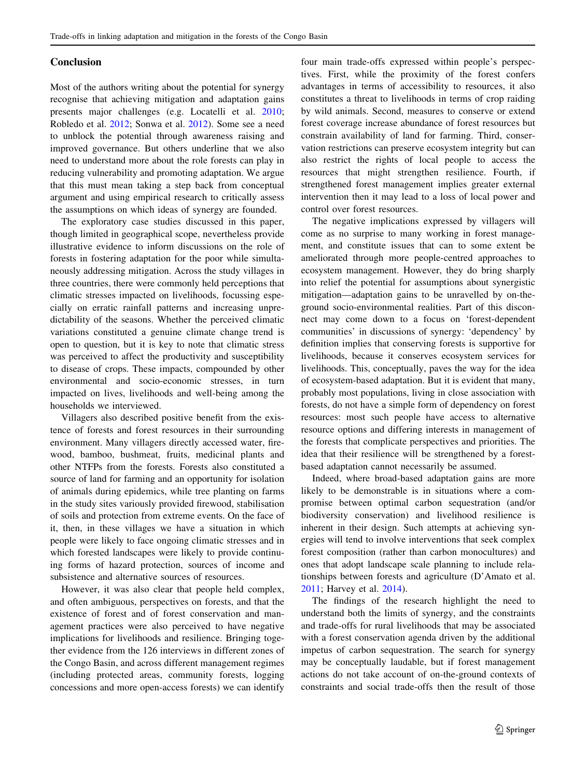# Conclusion

Most of the authors writing about the potential for synergy recognise that achieving mitigation and adaptation gains presents major challenges (e.g. Locatelli et al. [2010](#page-11-0); Robledo et al. [2012;](#page-12-0) Sonwa et al. [2012](#page-12-0)). Some see a need to unblock the potential through awareness raising and improved governance. But others underline that we also need to understand more about the role forests can play in reducing vulnerability and promoting adaptation. We argue that this must mean taking a step back from conceptual argument and using empirical research to critically assess the assumptions on which ideas of synergy are founded.

The exploratory case studies discussed in this paper, though limited in geographical scope, nevertheless provide illustrative evidence to inform discussions on the role of forests in fostering adaptation for the poor while simultaneously addressing mitigation. Across the study villages in three countries, there were commonly held perceptions that climatic stresses impacted on livelihoods, focussing especially on erratic rainfall patterns and increasing unpredictability of the seasons. Whether the perceived climatic variations constituted a genuine climate change trend is open to question, but it is key to note that climatic stress was perceived to affect the productivity and susceptibility to disease of crops. These impacts, compounded by other environmental and socio-economic stresses, in turn impacted on lives, livelihoods and well-being among the households we interviewed.

Villagers also described positive benefit from the existence of forests and forest resources in their surrounding environment. Many villagers directly accessed water, firewood, bamboo, bushmeat, fruits, medicinal plants and other NTFPs from the forests. Forests also constituted a source of land for farming and an opportunity for isolation of animals during epidemics, while tree planting on farms in the study sites variously provided firewood, stabilisation of soils and protection from extreme events. On the face of it, then, in these villages we have a situation in which people were likely to face ongoing climatic stresses and in which forested landscapes were likely to provide continuing forms of hazard protection, sources of income and subsistence and alternative sources of resources.

However, it was also clear that people held complex, and often ambiguous, perspectives on forests, and that the existence of forest and of forest conservation and management practices were also perceived to have negative implications for livelihoods and resilience. Bringing together evidence from the 126 interviews in different zones of the Congo Basin, and across different management regimes (including protected areas, community forests, logging concessions and more open-access forests) we can identify four main trade-offs expressed within people's perspectives. First, while the proximity of the forest confers advantages in terms of accessibility to resources, it also constitutes a threat to livelihoods in terms of crop raiding by wild animals. Second, measures to conserve or extend forest coverage increase abundance of forest resources but constrain availability of land for farming. Third, conservation restrictions can preserve ecosystem integrity but can also restrict the rights of local people to access the resources that might strengthen resilience. Fourth, if strengthened forest management implies greater external intervention then it may lead to a loss of local power and control over forest resources.

The negative implications expressed by villagers will come as no surprise to many working in forest management, and constitute issues that can to some extent be ameliorated through more people-centred approaches to ecosystem management. However, they do bring sharply into relief the potential for assumptions about synergistic mitigation—adaptation gains to be unravelled by on-theground socio-environmental realities. Part of this disconnect may come down to a focus on 'forest-dependent communities' in discussions of synergy: 'dependency' by definition implies that conserving forests is supportive for livelihoods, because it conserves ecosystem services for livelihoods. This, conceptually, paves the way for the idea of ecosystem-based adaptation. But it is evident that many, probably most populations, living in close association with forests, do not have a simple form of dependency on forest resources: most such people have access to alternative resource options and differing interests in management of the forests that complicate perspectives and priorities. The idea that their resilience will be strengthened by a forestbased adaptation cannot necessarily be assumed.

Indeed, where broad-based adaptation gains are more likely to be demonstrable is in situations where a compromise between optimal carbon sequestration (and/or biodiversity conservation) and livelihood resilience is inherent in their design. Such attempts at achieving synergies will tend to involve interventions that seek complex forest composition (rather than carbon monocultures) and ones that adopt landscape scale planning to include relationships between forests and agriculture (D'Amato et al. [2011](#page-11-0); Harvey et al. [2014\)](#page-11-0).

The findings of the research highlight the need to understand both the limits of synergy, and the constraints and trade-offs for rural livelihoods that may be associated with a forest conservation agenda driven by the additional impetus of carbon sequestration. The search for synergy may be conceptually laudable, but if forest management actions do not take account of on-the-ground contexts of constraints and social trade-offs then the result of those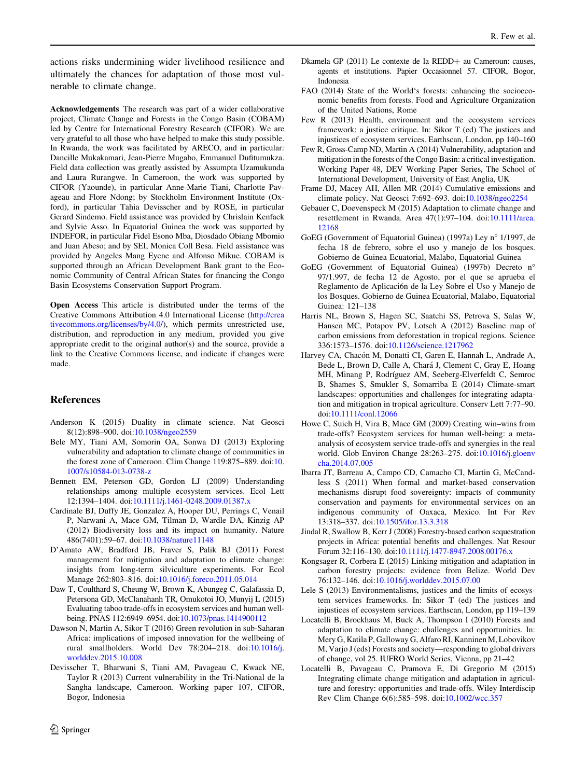<span id="page-11-0"></span>actions risks undermining wider livelihood resilience and ultimately the chances for adaptation of those most vulnerable to climate change.

Acknowledgements The research was part of a wider collaborative project, Climate Change and Forests in the Congo Basin (COBAM) led by Centre for International Forestry Research (CIFOR). We are very grateful to all those who have helped to make this study possible. In Rwanda, the work was facilitated by ARECO, and in particular: Dancille Mukakamari, Jean-Pierre Mugabo, Emmanuel Dufitumukza. Field data collection was greatly assisted by Assumpta Uzamukunda and Laura Rurangwe. In Cameroon, the work was supported by CIFOR (Yaounde), in particular Anne-Marie Tiani, Charlotte Pavageau and Flore Ndong; by Stockholm Environment Institute (Oxford), in particular Tahia Devisscher and by ROSE, in particular Gerard Sindemo. Field assistance was provided by Chrislain Kenfack and Sylvie Asso. In Equatorial Guinea the work was supported by INDEFOR, in particular Fidel Esono Mba, Diosdado Obiang Mbomio and Juan Abeso; and by SEI, Monica Coll Besa. Field assistance was provided by Angeles Mang Eyene and Alfonso Mikue. COBAM is supported through an African Development Bank grant to the Economic Community of Central African States for financing the Congo Basin Ecosystems Conservation Support Program.

Open Access This article is distributed under the terms of the Creative Commons Attribution 4.0 International License ([http://crea](http://creativecommons.org/licenses/by/4.0/) [tivecommons.org/licenses/by/4.0/\)](http://creativecommons.org/licenses/by/4.0/), which permits unrestricted use, distribution, and reproduction in any medium, provided you give appropriate credit to the original author(s) and the source, provide a link to the Creative Commons license, and indicate if changes were made.

# References

- Anderson K (2015) Duality in climate science. Nat Geosci 8(12):898–900. doi:[10.1038/ngeo2559](http://dx.doi.org/10.1038/ngeo2559)
- Bele MY, Tiani AM, Somorin OA, Sonwa DJ (2013) Exploring vulnerability and adaptation to climate change of communities in the forest zone of Cameroon. Clim Change 119:875–889. doi:[10.](http://dx.doi.org/10.1007/s10584-013-0738-z) [1007/s10584-013-0738-z](http://dx.doi.org/10.1007/s10584-013-0738-z)
- Bennett EM, Peterson GD, Gordon LJ (2009) Understanding relationships among multiple ecosystem services. Ecol Lett 12:1394–1404. doi[:10.1111/j.1461-0248.2009.01387.x](http://dx.doi.org/10.1111/j.1461-0248.2009.01387.x)
- Cardinale BJ, Duffy JE, Gonzalez A, Hooper DU, Perrings C, Venail P, Narwani A, Mace GM, Tilman D, Wardle DA, Kinzig AP (2012) Biodiversity loss and its impact on humanity. Nature 486(7401):59–67. doi[:10.1038/nature11148](http://dx.doi.org/10.1038/nature11148)
- D'Amato AW, Bradford JB, Fraver S, Palik BJ (2011) Forest management for mitigation and adaptation to climate change: insights from long-term silviculture experiments. For Ecol Manage 262:803–816. doi[:10.1016/j.foreco.2011.05.014](http://dx.doi.org/10.1016/j.foreco.2011.05.014)
- Daw T, Coulthard S, Cheung W, Brown K, Abungeg C, Galafassia D, Petersona GD, McClanahanh TR, Omukotoi JO, Munyij L (2015) Evaluating taboo trade-offs in ecosystem services and human wellbeing. PNAS 112:6949–6954. doi[:10.1073/pnas.1414900112](http://dx.doi.org/10.1073/pnas.1414900112)
- Dawson N, Martin A, Sikor T (2016) Green revolution in sub-Saharan Africa: implications of imposed innovation for the wellbeing of rural smallholders. World Dev 78:204–218. doi:[10.1016/j.](http://dx.doi.org/10.1016/j.worlddev.2015.10.008) [worlddev.2015.10.008](http://dx.doi.org/10.1016/j.worlddev.2015.10.008)
- Devisscher T, Bharwani S, Tiani AM, Pavageau C, Kwack NE, Taylor R (2013) Current vulnerability in the Tri-National de la Sangha landscape, Cameroon. Working paper 107, CIFOR, Bogor, Indonesia
- Dkamela GP (2011) Le contexte de la REDD+ au Cameroun: causes, agents et institutions. Papier Occasionnel 57. CIFOR, Bogor, Indonesia
- FAO (2014) State of the World's forests: enhancing the socioeconomic benefits from forests. Food and Agriculture Organization of the United Nations, Rome
- Few R (2013) Health, environment and the ecosystem services framework: a justice critique. In: Sikor T (ed) The justices and injustices of ecosystem services. Earthscan, London, pp 140–160
- Few R, Gross-Camp ND, Martin A (2014) Vulnerability, adaptation and mitigation in the forests of the Congo Basin: a critical investigation. Working Paper 48, DEV Working Paper Series, The School of International Development, University of East Anglia, UK
- Frame DJ, Macey AH, Allen MR (2014) Cumulative emissions and climate policy. Nat Geosci 7:692–693. doi[:10.1038/ngeo2254](http://dx.doi.org/10.1038/ngeo2254)
- Gebauer C, Doevenspeck M (2015) Adaptation to climate change and resettlement in Rwanda. Area 47(1):97–104. doi[:10.1111/area.](http://dx.doi.org/10.1111/area.12168) [12168](http://dx.doi.org/10.1111/area.12168)
- GoEG (Government of Equatorial Guinea) (1997a) Ley nº 1/1997, de fecha 18 de febrero, sobre el uso y manejo de los bosques. Gobierno de Guinea Ecuatorial, Malabo, Equatorial Guinea
- GoEG (Government of Equatorial Guinea) (1997b) Decreto n 97/1.997, de fecha 12 de Agosto, por el que se aprueba el Reglamento de Aplicaci6n de la Ley Sobre el Uso y Manejo de los Bosques. Gobierno de Guinea Ecuatorial, Malabo, Equatorial Guinea: 121–138
- Harris NL, Brown S, Hagen SC, Saatchi SS, Petrova S, Salas W, Hansen MC, Potapov PV, Lotsch A (2012) Baseline map of carbon emissions from deforestation in tropical regions. Science 336:1573–1576. doi:[10.1126/science.1217962](http://dx.doi.org/10.1126/science.1217962)
- Harvey CA, Chacón M, Donatti CI, Garen E, Hannah L, Andrade A, Bede L, Brown D, Calle A, Chará J, Clement C, Gray E, Hoang MH, Minang P, Rodríguez AM, Seeberg-Elverfeldt C, Semroc B, Shames S, Smukler S, Somarriba E (2014) Climate-smart landscapes: opportunities and challenges for integrating adaptation and mitigation in tropical agriculture. Conserv Lett 7:77–90. doi[:10.1111/conl.12066](http://dx.doi.org/10.1111/conl.12066)
- Howe C, Suich H, Vira B, Mace GM (2009) Creating win–wins from trade-offs? Ecosystem services for human well-being: a metaanalysis of ecosystem service trade-offs and synergies in the real world. Glob Environ Change 28:263–275. doi:[10.1016/j.gloenv](http://dx.doi.org/10.1016/j.gloenvcha.2014.07.005) [cha.2014.07.005](http://dx.doi.org/10.1016/j.gloenvcha.2014.07.005)
- Ibarra JT, Barreau A, Campo CD, Camacho CI, Martin G, McCandless S (2011) When formal and market-based conservation mechanisms disrupt food sovereignty: impacts of community conservation and payments for environmental services on an indigenous community of Oaxaca, Mexico. Int For Rev 13:318–337. doi:[10.1505/ifor.13.3.318](http://dx.doi.org/10.1505/ifor.13.3.318)
- Jindal R, Swallow B, Kerr J (2008) Forestry-based carbon sequestration projects in Africa: potential benefits and challenges. Nat Resour Forum 32:116–130. doi[:10.1111/j.1477-8947.2008.00176.x](http://dx.doi.org/10.1111/j.1477-8947.2008.00176.x)
- Kongsager R, Corbera E (2015) Linking mitigation and adaptation in carbon forestry projects: evidence from Belize. World Dev 76:132–146. doi:[10.1016/j.worlddev.2015.07.00](http://dx.doi.org/10.1016/j.worlddev.2015.07.00)
- Lele S (2013) Environmentalisms, justices and the limits of ecosystem services frameworks. In: Sikor T (ed) The justices and injustices of ecosystem services. Earthscan, London, pp 119–139
- Locatelli B, Brockhaus M, Buck A, Thompson I (2010) Forests and adaptation to climate change: challenges and opportunities. In: Mery G, Katila P, Galloway G, Alfaro RI, Kanninen M, Lobovikov M, Varjo J (eds) Forests and society—responding to global drivers of change, vol 25. IUFRO World Series, Vienna, pp 21–42
- Locatelli B, Pavageau C, Pramova E, Di Gregorio M (2015) Integrating climate change mitigation and adaptation in agriculture and forestry: opportunities and trade-offs. Wiley Interdiscip Rev Clim Change 6(6):585–598. doi:[10.1002/wcc.357](http://dx.doi.org/10.1002/wcc.357)